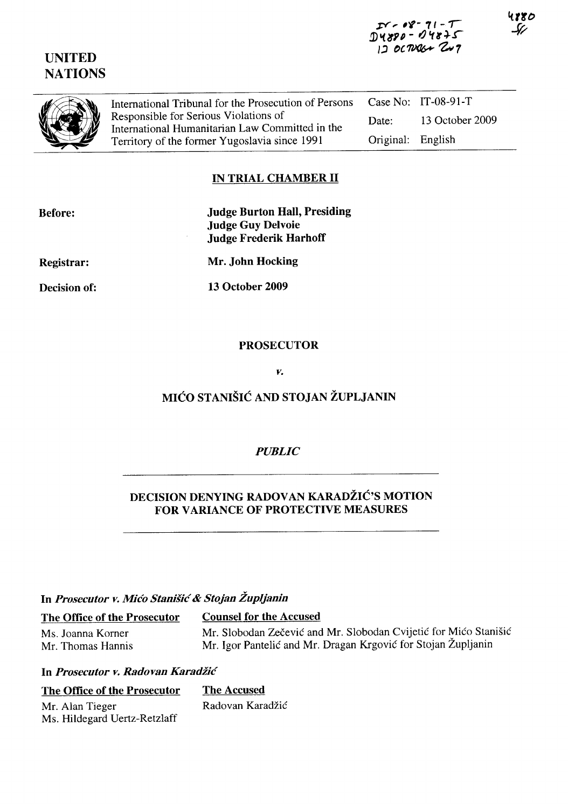# UNITED **NATIONS**

4880



Case No: IT-08-91-T International Tribunal for the Prosecution of Persons Responsible for Serious Violations of Date: 13 October 2009 International Humanitarian Law Committed in the Territory of the former Yugoslavia since 1991 Original: English

### IN TRIAL CHAMBER II

Judge Burton Hall, Presiding Judge Guy Delvoie Judge Frederik Harhoff

Registrar:

Decision of:

Mr. John Hocking

13 October 2009

#### PROSECUTOR

*v.* 

## MIĆO STANIŠIĆ AND STOJAN ŽUPLJANIN

## *PUBLIC*

## DECISION DENYING RADOVAN KARADŽIĆ'S MOTION FOR VARIANCE OF PROTECTIVE MEASURES

## In *Prosecutor v.* Mićo Stanišić & *Stojan Župljanin*

| The Office of the Prosecutor | <b>Counsel for the Accused</b>                                   |
|------------------------------|------------------------------------------------------------------|
| Ms. Joanna Korner            | Mr. Slobodan Zečević and Mr. Slobodan Cvijetić for Mićo Stanišić |
| Mr. Thomas Hannis            | Mr. Igor Pantelić and Mr. Dragan Krgović for Stojan Župljanin    |

#### In *Prosecutor v. Radovan* Karadžić

| The Office of the Prosecutor | The Accused      |
|------------------------------|------------------|
| Mr. Alan Tieger              | Radovan Karadžić |
| Ms. Hildegard Uertz-Retzlaff |                  |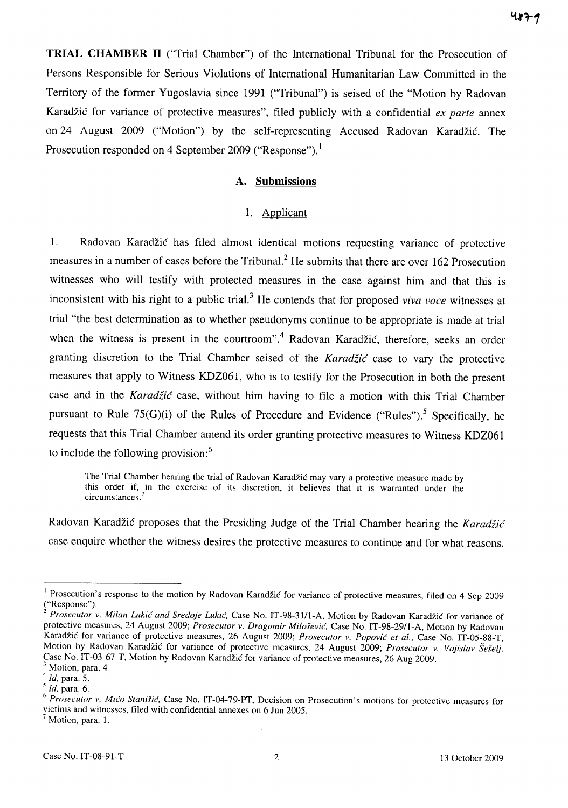**TRIAL CHAMBER II** ("Trial Chamber") of the International Tribunal for the Prosecution of Persons Responsible for Serious Violations of International Humanitarian Law Committed in the Territory of the former Yugoslavia since 1991 ("Tribunal") is seised of the "Motion by Radovan Karadžić for variance of protective measures", filed publicly with a confidential *ex parte* annex on 24 August 2009 ("Motion") by the self-representing Accused Radovan Karadžić. The Prosecution responded on 4 September 2009 ("Response").<sup>1</sup>

#### **A. Submissions**

### 1. Applicant

1. Radovan Karadžić has filed almost identical motions requesting variance of protective measures in a number of cases before the Tribunal? He submits that there are over 162 Prosecution witnesses who will testify with protected measures in the case against him and that this is inconsistent with his right to a public trial. 3 He contends that for proposed *viva voce* witnesses at trial "the best determination as to whether pseudonyms continue to be appropriate is made at trial when the witness is present in the courtroom".<sup>4</sup> Radovan Karadžić, therefore, seeks an order granting discretion to the Trial Chamber seised of the Karadžić case to vary the protective measures that apply to Witness KDZ061, who is to testify for the Prosecution in both the present case and in the Karadžić case, without him having to file a motion with this Trial Chamber pursuant to Rule  $75(G)(i)$  of the Rules of Procedure and Evidence ("Rules").<sup>5</sup> Specifically, he requests that this Trial Chamber amend its order granting protective measures to Witness KDZ061 to include the following provision:<sup>6</sup>

The Trial Chamber hearing the trial of Radovan Karadžić may vary a protective measure made by this order if, in the exercise of its discretion, it believes that it is warranted under the circumstances.

Radovan Karadžić proposes that the Presiding Judge of the Trial Chamber hearing the Karadžić case enquire whether the witness desires the protective measures to continue and for what reasons.

<sup>&</sup>lt;sup>1</sup> Prosecution's response to the motion by Radovan Karadžić for variance of protective measures, filed on 4 Sep 2009  $("Response")$ .

<sup>2</sup>*Prosecutor v. Milan* Lukić *and Sredoje* Lukić. Case No. 1T-98-3111-A, Motion by Radovan Karadžić for variance of protective measures, 24 August 2009; *Prosecutor v. Dragomir* Milošević. Case No. 1T-98-29/l-A, Motion by Radovan Karadžić for variance of protective measures, 26 August 2009; *Prosecutor v.* Popović *et al ..* Case No. IT-05-88-T, Motion by Radovan Karadžić for variance of protective measures, 24 August 2009; *Prosecutor v. Vojislav Šešelj*, Case No. IT-03-67-T, Motion by Radovan Karadžić for variance of protective measures, 26 Aug 2009.

Motion, para. 4

*<sup>4</sup> ld.* para. 5.

*<sup>5</sup> ld.* para. 6.

<sup>6</sup>*Prosecutor v. Micfo* Stanišić. Case No. IT-04-79-PT, Decision on Prosecution's motion s for protective measures for victims and witnesses, filed with confidential annexes on 6 Jun 2005.  $<sup>7</sup>$  Motion, para. 1.</sup>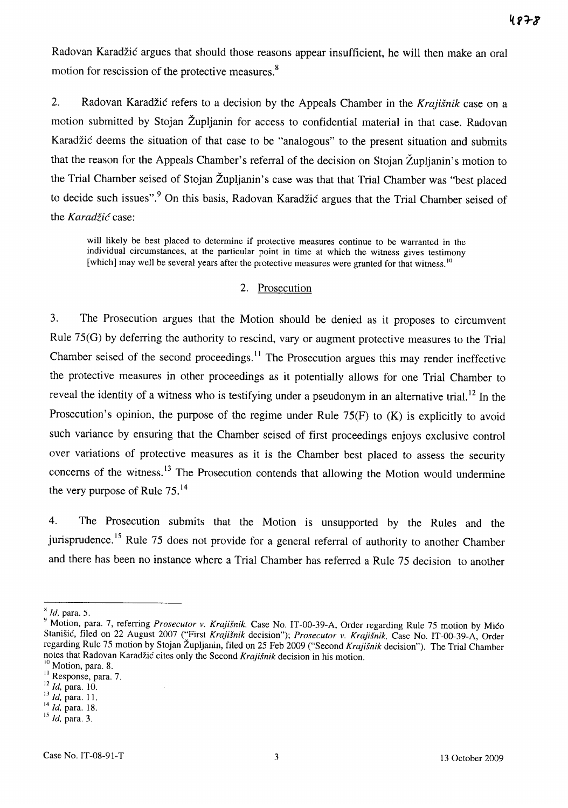Radovan Karadžić argues that should those reasons appear insufficient, he will then make an oral motion for rescission of the protective measures. 8

2. Radovan Karadžić refers to a decision by the Appeals Chamber in the *Krajišnik* case on a motion submitted by Stojan Župljanin for access to confidential material in that case. Radovan Karadžić deems the situation of that case to be "analogous" to the present situation and submits that the reason for the Appeals Chamber's referral of the decision on Stojan Župljanin's motion to the Trial Chamber seised of Stojan Župljanin's case was that that Trial Chamber was "best placed to decide such issues".<sup>9</sup> On this basis, Radovan Karadžić argues that the Trial Chamber seised of the Karadžić case:

will likely be best placed to determine if protective measures continue to be warranted in the individual circumstances, at the particular point in time at which the witness gives testimony [which] may well be several years after the protective measures were granted for that witness.<sup>10</sup>

#### 2. Prosecution

3. The Prosecution argues that the Motion should be denied as it proposes to circumvent Rule 75(G) by deferring the authority to rescind, vary or augment protective measures to the Trial Chamber seised of the second proceedings.<sup>11</sup> The Prosecution argues this may render ineffective the protective measures in other proceedings as it potentially allows for one Trial Chamber to reveal the identity of a witness who is testifying under a pseudonym in an alternative trial.<sup>12</sup> In the Prosecution's opinion, the purpose of the regime under Rule  $75(F)$  to  $(K)$  is explicitly to avoid such variance by ensuring that the Chamber seised of first proceedings enjoys exclusive control over variations of protective measures as it is the Chamber best placed to assess the security concerns of the witness.<sup>13</sup> The Prosecution contends that allowing the Motion would undermine the very purpose of Rule 75.<sup>14</sup>

4. The Prosecution submits that the Motion is unsupported by the Rules and the jurisprudence.<sup>15</sup> Rule 75 does not provide for a general referral of authority to another Chamber and there has been no instance where a Trial Chamber has referred a Rule 75 decision to another

x *ld.* para. 5.

<sup>&</sup>lt;sup>3</sup> Motion, para. 7, referring *Prosecutor v. Krajišnik*, Case No. IT-00-39-A, Order regarding Rule 75 motion by Mićo Stanišić, filed on 22 August 2007 ("First *Krajišnik* decision"); *Prosecutor v. Krajišnik.* Case No. IT-00-39-A, Order regarding Rule 75 motion by Stojan Župljanin, filed on 25 Feb 2009 ("Second *Krajišnik* decision"). The Trial Chamber notes that Radovan Karadžić cites only the Second *Krajišnik* decision in his motion.

<sup>&</sup>lt;sup>10</sup> Motion, para. 8.

<sup>&</sup>lt;sup>11</sup> Response, para. 7.

<sup>12</sup>*Id.* para. 10.

<sup>13</sup>*ld.* para. ll.

<sup>14</sup>*ld.* para. 18.

<sup>15</sup>*ld.* para. 3.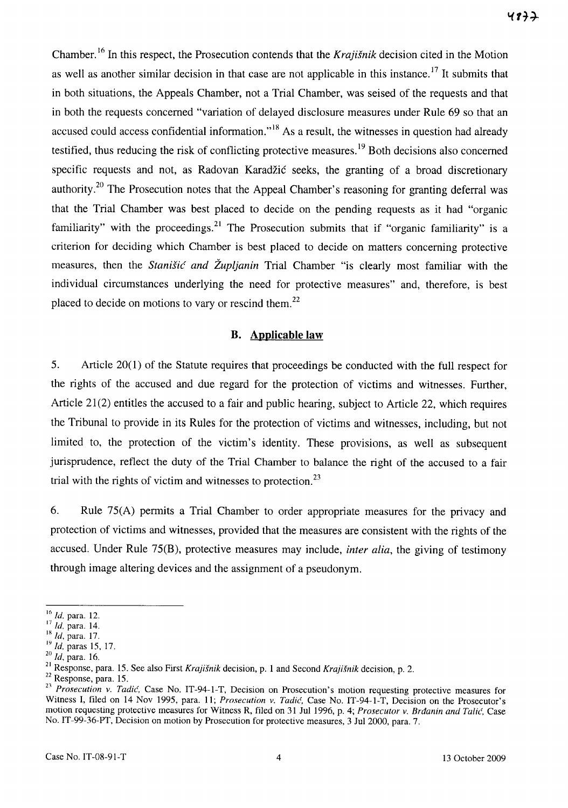Chamber. 16 In this respect, the Prosecution contends that the *Krajišnik* decision cited in the Motion as well as another similar decision in that case are not applicable in this instance.<sup>17</sup> It submits that in both situations, the Appeals Chamber, not a Trial Chamber, was sei sed of the requests and that in both the requests concerned "variation of delayed disclosure measures under Rule 69 so that an accused could access confidential information."<sup>18</sup> As a result, the witnesses in question had already testified, thus reducing the risk of conflicting protective measures.<sup>19</sup> Both decisions also concerned specific requests and not, as Radovan Karadžić seeks, the granting of a broad discretionary authority.<sup>20</sup> The Prosecution notes that the Appeal Chamber's reasoning for granting deferral was that the Trial Chamber was best placed to decide on the pending requests as it had "organic familiarity" with the proceedings.<sup>21</sup> The Prosecution submits that if "organic familiarity" is a criterion for deciding which Chamber is best placed to decide on matters concerning protective measures, then the Stanišić *and Župljanin* Trial Chamber "is clearly most familiar with the individual circumstances underlying the need for protective measures" and, therefore, is best placed to decide on motions to vary or rescind them.<sup>22</sup>

#### **B. Applicable law**

5. Article 20(1) of the Statute requires that proceedings be conducted with the full respect for the rights of the accused and due regard for the protection of victims and witnesses. Further, Article  $21(2)$  entitles the accused to a fair and public hearing, subject to Article 22, which requires the Tribunal to provide in its Rules for the protection of victims and witnesses, including, but not limited to, the protection of the victim's identity. These provisions, as well as subsequent jurisprudence, reflect the duty of the Trial Chamber to balance the right of the accused to a fair trial with the rights of victim and witnesses to protection.<sup>23</sup>

6. Rule 75(A) permits a Trial Chamber to order appropriate measures for the privacy and protection of victims and witnesses, provided that the measures are consistent with the rights of the accused. Under Rule 75(B), protective measures may include, *inter alia,* the giving of testimony through image altering devices and the assignment of a pseudonym.

I~ *ld.* para. 12.

<sup>&</sup>lt;sup>17</sup> *Id.* para. 14.

<sup>18</sup>*ld,* para. 17.

<sup>19</sup>*ld.* paras IS, 17.

*<sup>20</sup> ld,* para. 16.

 $^{21}$  Response, para. 15. See also First Krajišnik decision, p. 1 and Second Krajišnik decision, p. 2.

<sup>&</sup>lt;sup>22</sup> Response, para. 15.

<sup>&</sup>lt;sup>23</sup> Prosecution v. Tadić. Case No. IT-94-1-T, Decision on Prosecution's motion requesting protective measures for Witness I, filed on 14 Nov 1995, para. 11; *Prosecution v. Tadić*, Case No. IT-94-1-T, Decision on the Prosecutor's motion requesting protective measures for Witness R, filed on 31 Jul 1996, p. 4; *Prosecutor v.* Brđanin *and Tali('.* Case No. lT-99-36-PT, Decision on motion by Prosecution for protective measures, 3 Ju12000, para. 7.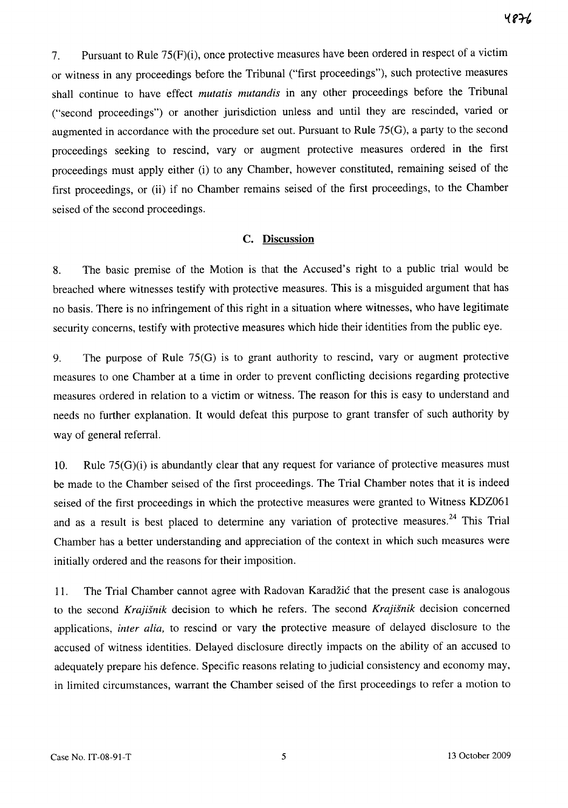7. Pursuant to Rule 75(F)(i), once protective measures have been ordered in respect of a victim or witness in any proceedings before the Tribunal ("first proceedings"), such protective measures shall continue to have effect *mutatis mutandis* in any other proceedings before the Tribunal ("second proceedings") or another jurisdiction unless and until they are rescinded, varied or augmented in accordance with the procedure set out. Pursuant to Rule 75(G), a party to the second proceedings seeking to rescind, vary or augment protective measures ordered in the first proceedings must apply either (i) to any Chamber, however constituted, remaining seised of the first proceedings, or (ii) if no Chamber remains seised of the first proceedings, to the Chamber seised of the second proceedings.

#### **c. Discussion**

8. The basic premise of the Motion is that the Accused's right to a public trial would be breached where witnesses testify with protective measures. This is a misguided argument that has no basis. There is no infringement of this right in a situation where witnesses, who have legitimate security concerns, testify with protective measures which hide their identities from the public eye.

9. The purpose of Rule 75(G) is to grant authority to rescind, vary or augment protective measures to one Chamber at a time in order to prevent conflicting decisions regarding protective measures ordered in relation to a victim or witness. The reason for this is easy to understand and needs no further explanation. **It** would defeat this purpose to grant transfer of such authority by way of general referral.

10. Rule 75(G)(i) is abundantly clear that any request for variance of protective measures must be made to the Chamber seised of the first proceedings. The Trial Chamber notes that it is indeed seised of the first proceedings in which the protective measures were granted to Witness KDZ061 and as a result is best placed to determine any variation of protective measures.<sup>24</sup> This Trial Chamber has a better understanding and appreciation of the context in which such measures were initially ordered and the reasons for their imposition.

11. The Trial Chamber cannot agree with Radovan Karadžić that the present case is analogous to the second *Krajišnik* decision to which he refers. The second *Krajišnik* decision concerned applications, *inter alia,* to rescind or vary the protective measure of delayed disclosure to the accused of witness identities. Delayed disclosure directly impacts on the ability of an accused to adequately prepare his defence. Specific reasons relating to judicial consistency and economy may, in limited circumstances, warrant the Chamber seised of the first proceedings to refer a motion to